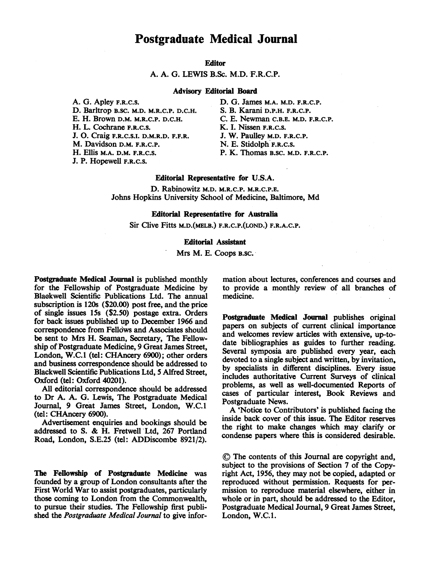### Postgraduate Medical Journal

#### **Editor**

A. A. G. LEWIS B.Sc. M.D. F.R.C.P.

#### Advisory Editorial Board

A. G. Apley F.R.C.S. D. Barltrop B.SC. M.D. M.R.C.P. D.C.H. E. H. Brown D.M. M.R.C.P. D.C.H. H. L. Cochrane F.R.C.S. J. 0. Craig F.R.C.S.I. D.M.R.D. F.F.R. M. Davidson D.M. F.R.C.P. H. Ellis M.A. D.M. F.R.C.S. J. P. Hopewell F.R.C.S.

D. G. James M.A. M.D. F.R.C.P. S. B. Karani D.P.H. F.R.C.P. C. E. Newman C.B.E. M.D. F.R.C.P. K. I. Nissen F.R.C.S. J. W. Paulley M.D. F.R.C.P. N. E. Stidolph F.R.C.S. P. K. Thomas B.SC. M.D. F.R.C.P.

#### Editorial Representative for U.S.A.

D. Rabinowitz M.D. M.R.C.P. M.R.C.P.E. Johns Hopkins University School of Medicine, Baltimore, Md

#### Editorial Representative for Australia

Sir Clive Fitts M.D.(MELB.) F.R.C.P.(LOND.) F.R.A.C.P.

#### Editorial Assistant

Mrs M. E. Coops B.SC.

Postgraduate Medical Journal is published monthly for the Fellowship of Postgraduate Medicine by Blaokwell Scientific Publications Ltd. The annual subscription is 120s (\$20.00) post free, and the price of single issues i5s (\$2.50) postage extra. Orders for back issues published up to December 1966 and correspondence from Fellows and Associates should be sent to Mrs H. Seaman, Secretary, The Fellowship of Postgraduate Medicine, 9 Great James Street, London, W.C.1 (tel: CHAncery 6900); other orders and business correspondence should be addressed to Blackwell Scientific Publications Ltd, 5 Alfred Street, Oxford (tel: Oxford 40201).

All editorial correspondence should be addressed to Dr A. A. G. Lewis, The Postgraduate Medical Journal, 9 Great James Street, London, W.C.1 (tel: CHAncery 6900).

Advertisement enquiries and bookings should be addressed to S. & H. Fretwell'Ltd, <sup>267</sup> Portland Road, London, S.E.25 (tel: ADDiscombe 8921/2).

The Fellowship of Postgraduate Medicine was founded by a group of London consultants after the First World War to assist postgraduates, particularly those coming to London from the Commonwealth, to pursue their studies. The Fellowship first published the Postgraduate Medical Journal to give information about lectures, conferences and courses and to provide a monthly review of all branches of medicine.

Postgraduate Medical Journal publishes original papers on subjects of current clinical importance and welcomes review articles with extensive, up-todate bibliographies as guides to further reading. Several symposia are published every year, each devoted to a single subject and written, by invitation, by specialists in different disciplines. Every issue includes authoritative Current Surveys of clinical problems, as well as well-documented Reports of cases of particular interest, Book Reviews and Postgraduate News.

A 'Notice to Contributors' is published facing the inside back cover of this issue. The Editor reserves the right to make changes which may'clarify or condense papers where this is considered desirable.

(D The contents of this Journal are copyright and, subject to the provisions of Section 7 of the Copyright Act, 1956, they may not be copied, adapted or reproduced without permission. Requests for permission to reproduce material elsewhere, either in whole or in part, should be addressed to the Editor, Postgraduate Medical Journal, 9 Great James Street, London, W.C.1.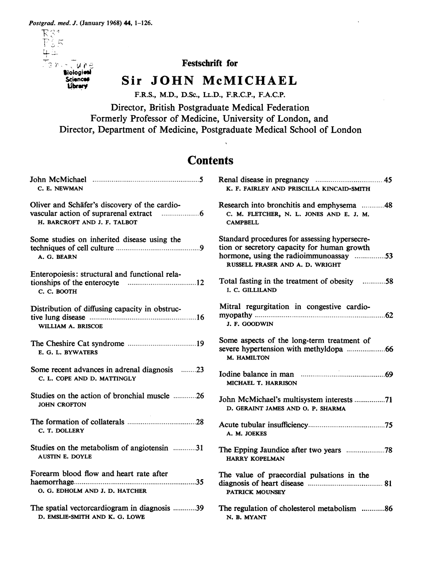$78.734$ <br> $78.34$ <br> $78.34$ <br> $78.34$ <br> $78.34$ <br> $78.34$ <br> $78.34$ <br> $78.34$ <br> $78.34$ <br> $78.34$ **Biologiesi** 

**Sciences** Library

Festschrift for

## Sir JOHN McMICHAEL

F.R.S., M.D., D.Sc., LL.D., F.R.C.P., F.A.C.P.

Director, British Postgraduate Medical Federation Formerly Professor of Medicine, University of London, and Director, Department of Medicine, Postgraduate Medical School of London

# **Contents**

| C. E. NEWMAN                                                  | K. F. FAIRLEY AND PRISCILLA KINCAID-SMITH                                                                                                                                 |
|---------------------------------------------------------------|---------------------------------------------------------------------------------------------------------------------------------------------------------------------------|
| Oliver and Schäfer's discovery of the cardio-                 | Research into bronchitis and emphysema 48                                                                                                                                 |
|                                                               | C. M. FLETCHER, N. L. JONES AND E. J. M.                                                                                                                                  |
| H. BARCROFT AND J. F. TALBOT                                  | <b>CAMPBELL</b>                                                                                                                                                           |
| Some studies on inherited disease using the<br>A. G. BEARN    | Standard procedures for assessing hypersecre-<br>tion or secretory capacity for human growth<br>hormone, using the radioimmunoassay 53<br>RUSSELL FRASER AND A. D. WRIGHT |
| Enteropoiesis: structural and functional rela-<br>C. C. BOOTH | Total fasting in the treatment of obesity 58<br>I. C. GILLILAND                                                                                                           |
| Distribution of diffusing capacity in obstruc-                | Mitral regurgitation in congestive cardio-                                                                                                                                |
|                                                               |                                                                                                                                                                           |
| WILLIAM A. BRISCOE                                            | J. F. GOODWIN                                                                                                                                                             |
| E. G. L. BYWATERS                                             | Some aspects of the long-term treatment of<br>M. HAMILTON                                                                                                                 |
| Some recent advances in adrenal diagnosis 23                  |                                                                                                                                                                           |
| C. L. COPE AND D. MATTINGLY                                   | MICHAEL T. HARRISON                                                                                                                                                       |
| Studies on the action of bronchial muscle 26                  | John McMichael's multisystem interests 71                                                                                                                                 |
| <b>JOHN CROFTON</b>                                           | D. GERAINT JAMES AND O. P. SHARMA                                                                                                                                         |
|                                                               |                                                                                                                                                                           |
| C. T. DOLLERY                                                 | A. M. JOEKES                                                                                                                                                              |
| Studies on the metabolism of angiotensin 31                   |                                                                                                                                                                           |
| <b>AUSTIN E. DOYLE</b>                                        | <b>HARRY KOPELMAN</b>                                                                                                                                                     |
| Forearm blood flow and heart rate after                       | The value of praecordial pulsations in the                                                                                                                                |
|                                                               |                                                                                                                                                                           |
| O. G. EDHOLM AND J. D. HATCHER                                | PATRICK MOUNSEY                                                                                                                                                           |
| The spatial vectorcardiogram in diagnosis 39                  | The regulation of cholesterol metabolism 86                                                                                                                               |
| D. EMSLIE-SMITH AND K. G. LOWE                                | N. B. MYANT                                                                                                                                                               |